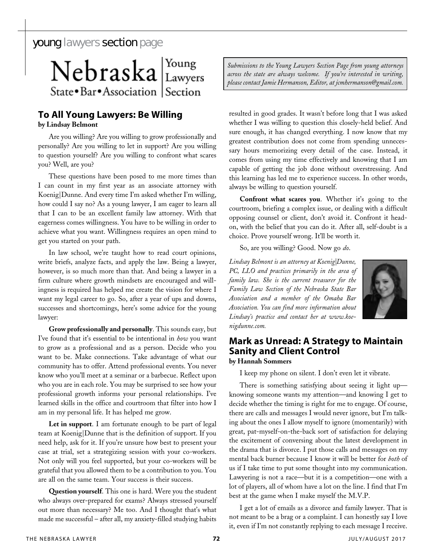## young lawyers section page

Nebraska Lawyers State • Bar • Association Section

## **To All Young Lawyers: Be Willing**

**by Lindsay Belmont** 

Are you willing? Are you willing to grow professionally and personally? Are you willing to let in support? Are you willing to question yourself? Are you willing to confront what scares you? Well, are you?

These questions have been posed to me more times than I can count in my first year as an associate attorney with Koenig|Dunne. And every time I'm asked whether I'm willing, how could I say no? As a young lawyer, I am eager to learn all that I can to be an excellent family law attorney. With that eagerness comes willingness. You have to be willing in order to achieve what you want. Willingness requires an open mind to get you started on your path.

In law school, we're taught how to read court opinions, write briefs, analyze facts, and apply the law. Being a lawyer, however, is so much more than that. And being a lawyer in a firm culture where growth mindsets are encouraged and willingness is required has helped me create the vision for where I want my legal career to go. So, after a year of ups and downs, successes and shortcomings, here's some advice for the young lawyer:

**Grow professionally and personally**. This sounds easy, but I've found that it's essential to be intentional in *how* you want to grow as a professional and as a person. Decide who you want to be. Make connections. Take advantage of what our community has to offer. Attend professional events. You never know who you'll meet at a seminar or a barbecue. Reflect upon who you are in each role. You may be surprised to see how your professional growth informs your personal relationships. I've learned skills in the office and courtroom that filter into how I am in my personal life. It has helped me grow.

**Let in support**. I am fortunate enough to be part of legal team at Koenig|Dunne that is the definition of support. If you need help, ask for it. If you're unsure how best to present your case at trial, set a strategizing session with your co-workers. Not only will you feel supported, but your co-workers will be grateful that you allowed them to be a contribution to you. You are all on the same team. Your success is their success.

**Question yourself**. This one is hard. Were you the student who always over-prepared for exams? Always stressed yourself out more than necessary? Me too. And I thought that's what made me successful – after all, my anxiety-filled studying habits

*Submissions to the Young Lawyers Section Page from young attorneys across the state are always welcome. If you're interested in writing, please contact Jamie Hermanson, Editor, at jcmhermanson@gmail.com.*

resulted in good grades. It wasn't before long that I was asked whether I was willing to question this closely-held belief. And sure enough, it has changed everything. I now know that my greatest contribution does not come from spending unnecessary hours memorizing every detail of the case. Instead, it comes from using my time effectively and knowing that I am capable of getting the job done without overstressing. And this learning has led me to experience success. In other words, always be willing to question yourself.

**Confront what scares you**. Whether it's going to the courtroom, briefing a complex issue, or dealing with a difficult opposing counsel or client, don't avoid it. Confront it headon, with the belief that you can do it. After all, self-doubt is a choice. Prove yourself wrong. It'll be worth it.

So, are you willing? Good. Now go *do*.

*Lindsay Belmont is an attorney at Koenig|Dunne, PC, LLO and practices primarily in the area of family law. She is the current treasurer for the Family Law Section of the Nebraska State Bar Association and a member of the Omaha Bar Association. You can find more information about Lindsay's practice and contact her at www.koenigdunne.com.*



## **Mark as Unread: A Strategy to Maintain Sanity and Client Control by Hannah Sommers**

I keep my phone on silent. I don't even let it vibrate.

There is something satisfying about seeing it light up knowing someone wants my attention—and knowing I get to decide whether the timing is right for me to engage. Of course, there are calls and messages I would never ignore, but I'm talking about the ones I allow myself to ignore (momentarily) with great, pat-myself-on-the-back sort of satisfaction for delaying the excitement of conversing about the latest development in the drama that is divorce. I put those calls and messages on my mental back burner because I know it will be better for *both* of us if I take time to put some thought into my communication. Lawyering is not a race—but it is a competition—one with a lot of players, all of whom have a lot on the line. I find that I'm best at the game when I make myself the M.V.P.

I get a lot of emails as a divorce and family lawyer. That is not meant to be a brag or a complaint. I can honestly say I love it, even if I'm not constantly replying to each message I receive.